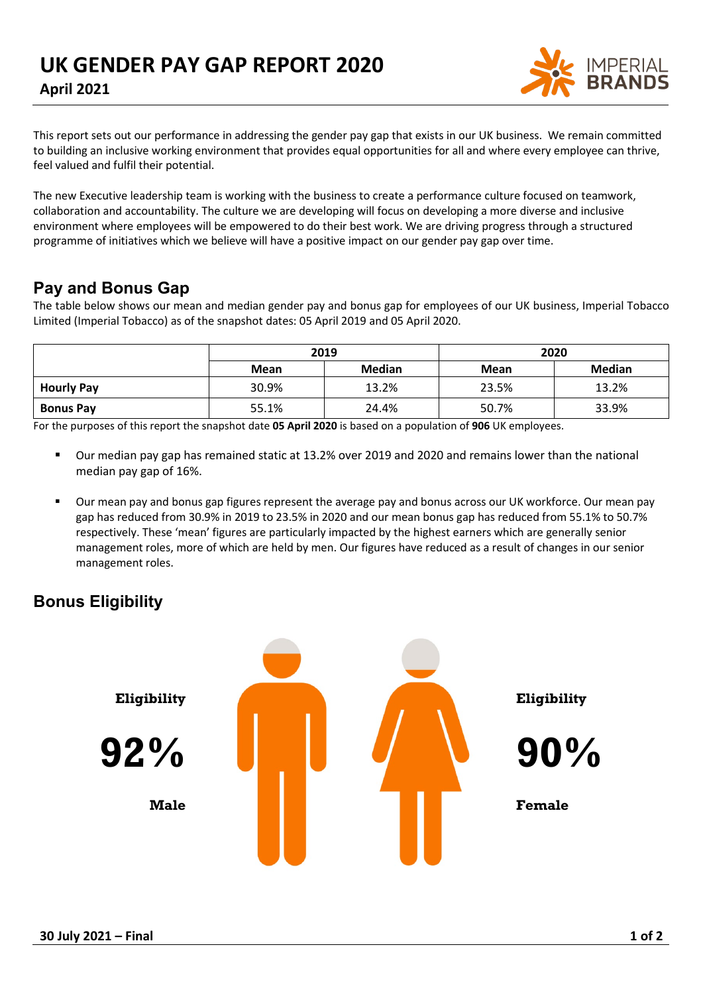

This report sets out our performance in addressing the gender pay gap that exists in our UK business. We remain committed to building an inclusive working environment that provides equal opportunities for all and where every employee can thrive, feel valued and fulfil their potential.

The new Executive leadership team is working with the business to create a performance culture focused on teamwork, collaboration and accountability. The culture we are developing will focus on developing a more diverse and inclusive environment where employees will be empowered to do their best work. We are driving progress through a structured programme of initiatives which we believe will have a positive impact on our gender pay gap over time.

## **Pay and Bonus Gap**

The table below shows our mean and median gender pay and bonus gap for employees of our UK business, Imperial Tobacco Limited (Imperial Tobacco) as of the snapshot dates: 05 April 2019 and 05 April 2020.

|                   | 2019        |               | 2020        |               |
|-------------------|-------------|---------------|-------------|---------------|
|                   | <b>Mean</b> | <b>Median</b> | <b>Mean</b> | <b>Median</b> |
| <b>Hourly Pay</b> | 30.9%       | 13.2%         | 23.5%       | 13.2%         |
| <b>Bonus Pay</b>  | 55.1%       | 24.4%         | 50.7%       | 33.9%         |

For the purposes of this report the snapshot date **05 April 2020** is based on a population of **906** UK employees.

- Our median pay gap has remained static at 13.2% over 2019 and 2020 and remains lower than the national median pay gap of 16%.
- Our mean pay and bonus gap figures represent the average pay and bonus across our UK workforce. Our mean pay gap has reduced from 30.9% in 2019 to 23.5% in 2020 and our mean bonus gap has reduced from 55.1% to 50.7% respectively. These 'mean' figures are particularly impacted by the highest earners which are generally senior management roles, more of which are held by men. Our figures have reduced as a result of changes in our senior management roles.

## **Bonus Eligibility**